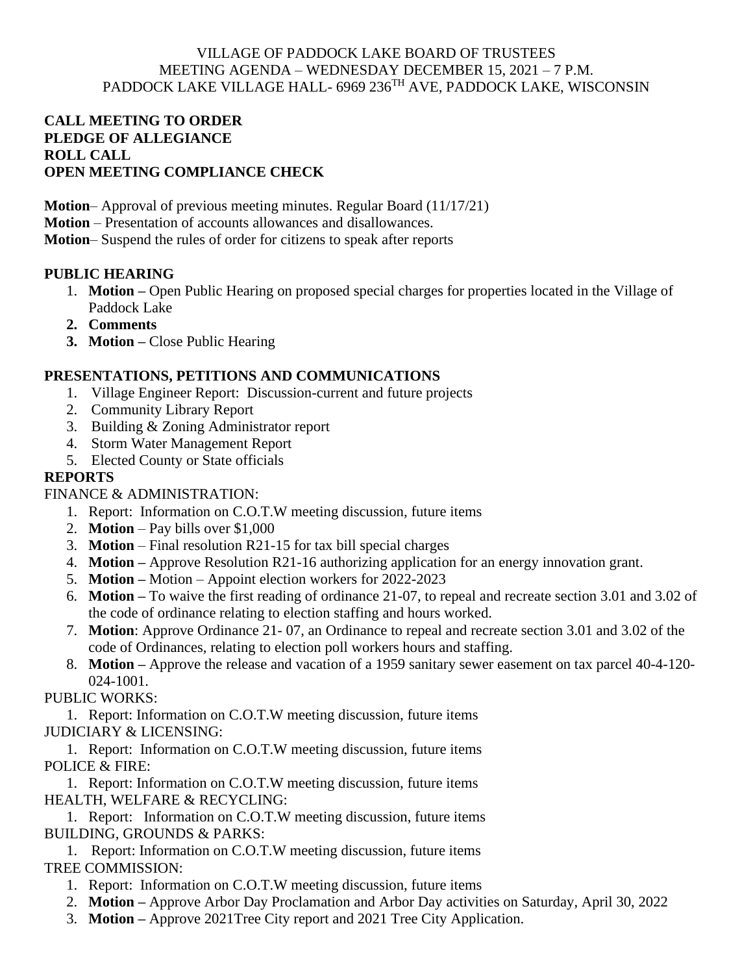## VILLAGE OF PADDOCK LAKE BOARD OF TRUSTEES MEETING AGENDA – WEDNESDAY DECEMBER 15, 2021 – 7 P.M. PADDOCK LAKE VILLAGE HALL- 6969 236<sup>TH</sup> AVE, PADDOCK LAKE, WISCONSIN

## **CALL MEETING TO ORDER PLEDGE OF ALLEGIANCE ROLL CALL OPEN MEETING COMPLIANCE CHECK**

**Motion**– Approval of previous meeting minutes. Regular Board (11/17/21)

**Motion** – Presentation of accounts allowances and disallowances.

**Motion**– Suspend the rules of order for citizens to speak after reports

# **PUBLIC HEARING**

- 1. **Motion –** Open Public Hearing on proposed special charges for properties located in the Village of Paddock Lake
- **2. Comments**
- **3. Motion –** Close Public Hearing

# **PRESENTATIONS, PETITIONS AND COMMUNICATIONS**

- 1. Village Engineer Report: Discussion-current and future projects
- 2. Community Library Report
- 3. Building & Zoning Administrator report
- 4. Storm Water Management Report
- 5. Elected County or State officials

# **REPORTS**

## FINANCE & ADMINISTRATION:

- 1. Report: Information on C.O.T.W meeting discussion, future items
- 2. **Motion** Pay bills over \$1,000
- 3. **Motion** Final resolution R21-15 for tax bill special charges
- 4. **Motion –** Approve Resolution R21-16 authorizing application for an energy innovation grant.
- 5. **Motion –** Motion Appoint election workers for 2022-2023
- 6. **Motion –** To waive the first reading of ordinance 21-07, to repeal and recreate section 3.01 and 3.02 of the code of ordinance relating to election staffing and hours worked.
- 7. **Motion**: Approve Ordinance 21- 07, an Ordinance to repeal and recreate section 3.01 and 3.02 of the code of Ordinances, relating to election poll workers hours and staffing.
- 8. **Motion –** Approve the release and vacation of a 1959 sanitary sewer easement on tax parcel 40-4-120- 024-1001.

PUBLIC WORKS:

1. Report: Information on C.O.T.W meeting discussion, future items JUDICIARY & LICENSING:

1. Report: Information on C.O.T.W meeting discussion, future items POLICE & FIRE:

1. Report: Information on C.O.T.W meeting discussion, future items HEALTH, WELFARE & RECYCLING:

1. Report: Information on C.O.T.W meeting discussion, future items BUILDING, GROUNDS & PARKS:

1. Report: Information on C.O.T.W meeting discussion, future items TREE COMMISSION:

- 1. Report: Information on C.O.T.W meeting discussion, future items
- 2. **Motion –** Approve Arbor Day Proclamation and Arbor Day activities on Saturday, April 30, 2022
- 3. **Motion –** Approve 2021Tree City report and 2021 Tree City Application.